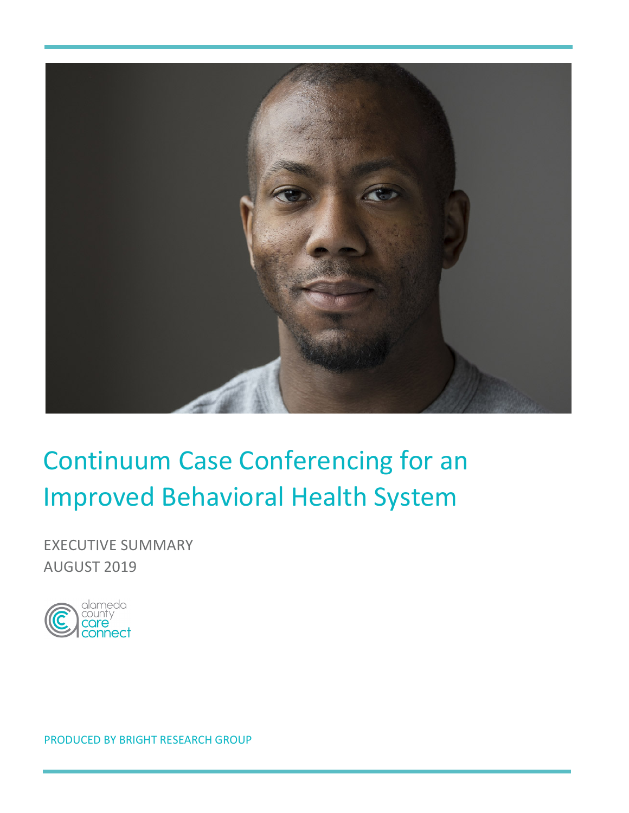

# Continuum Case Conferencing for an **Improved Behavioral Health System**

**EXECUTIVE SUMMARY** AUGUST 2019

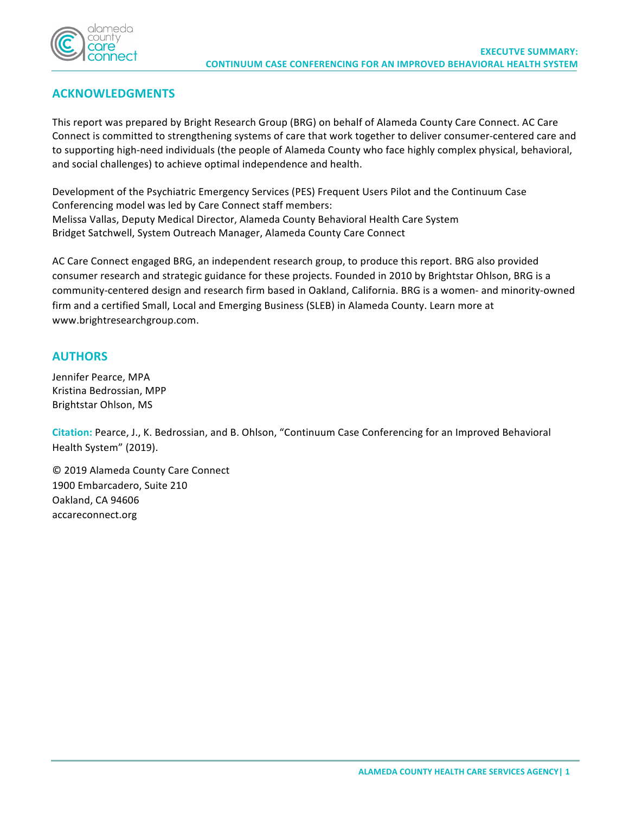

## **ACKNOWLEDGMENTS**

This report was prepared by Bright Research Group (BRG) on behalf of Alameda County Care Connect. AC Care Connect is committed to strengthening systems of care that work together to deliver consumer-centered care and to supporting high-need individuals (the people of Alameda County who face highly complex physical, behavioral, and social challenges) to achieve optimal independence and health.

Development of the Psychiatric Emergency Services (PES) Frequent Users Pilot and the Continuum Case Conferencing model was led by Care Connect staff members: Melissa Vallas, Deputy Medical Director, Alameda County Behavioral Health Care System Bridget Satchwell, System Outreach Manager, Alameda County Care Connect

AC Care Connect engaged BRG, an independent research group, to produce this report. BRG also provided consumer research and strategic guidance for these projects. Founded in 2010 by Brightstar Ohlson, BRG is a community-centered design and research firm based in Oakland, California. BRG is a women- and minority-owned firm and a certified Small, Local and Emerging Business (SLEB) in Alameda County. Learn more at www.brightresearchgroup.com.

#### **AUTHORS**

Jennifer Pearce, MPA Kristina Bedrossian, MPP Brightstar Ohlson, MS

Citation: Pearce, J., K. Bedrossian, and B. Ohlson, "Continuum Case Conferencing for an Improved Behavioral Health System" (2019).

© 2019 Alameda County Care Connect 1900 Embarcadero, Suite 210 Oakland, CA 94606 accareconnect.org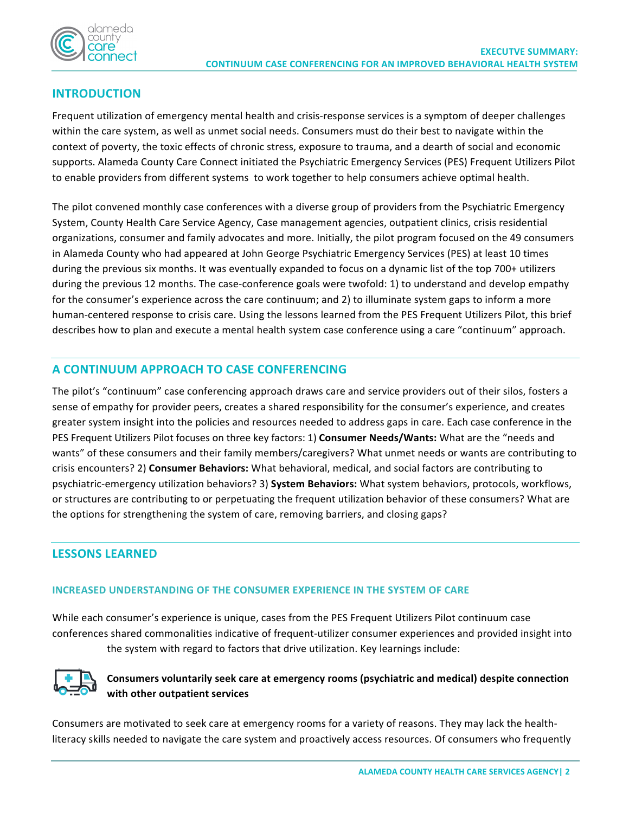

## **INTRODUCTION**

Frequent utilization of emergency mental health and crisis-response services is a symptom of deeper challenges within the care system, as well as unmet social needs. Consumers must do their best to navigate within the context of poverty, the toxic effects of chronic stress, exposure to trauma, and a dearth of social and economic supports. Alameda County Care Connect initiated the Psychiatric Emergency Services (PES) Frequent Utilizers Pilot to enable providers from different systems to work together to help consumers achieve optimal health.

The pilot convened monthly case conferences with a diverse group of providers from the Psychiatric Emergency System, County Health Care Service Agency, Case management agencies, outpatient clinics, crisis residential organizations, consumer and family advocates and more. Initially, the pilot program focused on the 49 consumers in Alameda County who had appeared at John George Psychiatric Emergency Services (PES) at least 10 times during the previous six months. It was eventually expanded to focus on a dynamic list of the top 700+ utilizers during the previous 12 months. The case-conference goals were twofold: 1) to understand and develop empathy for the consumer's experience across the care continuum; and 2) to illuminate system gaps to inform a more human-centered response to crisis care. Using the lessons learned from the PES Frequent Utilizers Pilot, this brief describes how to plan and execute a mental health system case conference using a care "continuum" approach.

### **A CONTINUUM APPROACH TO CASE CONFERENCING**

The pilot's "continuum" case conferencing approach draws care and service providers out of their silos, fosters a sense of empathy for provider peers, creates a shared responsibility for the consumer's experience, and creates greater system insight into the policies and resources needed to address gaps in care. Each case conference in the PES Frequent Utilizers Pilot focuses on three key factors: 1) **Consumer Needs/Wants:** What are the "needs and wants" of these consumers and their family members/caregivers? What unmet needs or wants are contributing to crisis encounters? 2) Consumer Behaviors: What behavioral, medical, and social factors are contributing to psychiatric-emergency utilization behaviors? 3) System Behaviors: What system behaviors, protocols, workflows, or structures are contributing to or perpetuating the frequent utilization behavior of these consumers? What are the options for strengthening the system of care, removing barriers, and closing gaps?

## **LESSONS LEARNED**

#### **INCREASED UNDERSTANDING OF THE CONSUMER EXPERIENCE IN THE SYSTEM OF CARE**

While each consumer's experience is unique, cases from the PES Frequent Utilizers Pilot continuum case conferences shared commonalities indicative of frequent-utilizer consumer experiences and provided insight into the system with regard to factors that drive utilization. Key learnings include:



#### Consumers voluntarily seek care at emergency rooms (psychiatric and medical) despite connection **with other outpatient services**

Consumers are motivated to seek care at emergency rooms for a variety of reasons. They may lack the healthliteracy skills needed to navigate the care system and proactively access resources. Of consumers who frequently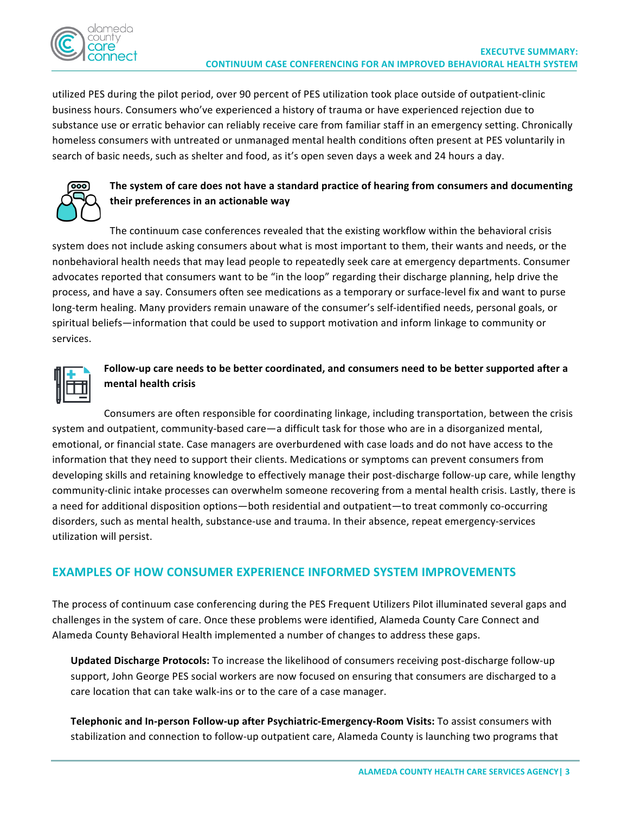

utilized PES during the pilot period, over 90 percent of PES utilization took place outside of outpatient-clinic business hours. Consumers who've experienced a history of trauma or have experienced rejection due to substance use or erratic behavior can reliably receive care from familiar staff in an emergency setting. Chronically homeless consumers with untreated or unmanaged mental health conditions often present at PES voluntarily in search of basic needs, such as shelter and food, as it's open seven days a week and 24 hours a day.



## The system of care does not have a standard practice of hearing from consumers and documenting **their preferences in an actionable way**

The continuum case conferences revealed that the existing workflow within the behavioral crisis system does not include asking consumers about what is most important to them, their wants and needs, or the nonbehavioral health needs that may lead people to repeatedly seek care at emergency departments. Consumer advocates reported that consumers want to be "in the loop" regarding their discharge planning, help drive the process, and have a say. Consumers often see medications as a temporary or surface-level fix and want to purse long-term healing. Many providers remain unaware of the consumer's self-identified needs, personal goals, or spiritual beliefs—information that could be used to support motivation and inform linkage to community or services.



## Follow-up care needs to be better coordinated, and consumers need to be better supported after a **mental health crisis**

Consumers are often responsible for coordinating linkage, including transportation, between the crisis system and outpatient, community-based care—a difficult task for those who are in a disorganized mental, emotional, or financial state. Case managers are overburdened with case loads and do not have access to the information that they need to support their clients. Medications or symptoms can prevent consumers from developing skills and retaining knowledge to effectively manage their post-discharge follow-up care, while lengthy community-clinic intake processes can overwhelm someone recovering from a mental health crisis. Lastly, there is a need for additional disposition options—both residential and outpatient—to treat commonly co-occurring disorders, such as mental health, substance-use and trauma. In their absence, repeat emergency-services utilization will persist.

## **EXAMPLES OF HOW CONSUMER EXPERIENCE INFORMED SYSTEM IMPROVEMENTS**

The process of continuum case conferencing during the PES Frequent Utilizers Pilot illuminated several gaps and challenges in the system of care. Once these problems were identified, Alameda County Care Connect and Alameda County Behavioral Health implemented a number of changes to address these gaps.

Updated Discharge Protocols: To increase the likelihood of consumers receiving post-discharge follow-up support, John George PES social workers are now focused on ensuring that consumers are discharged to a care location that can take walk-ins or to the care of a case manager.

Telephonic and In-person Follow-up after Psychiatric-Emergency-Room Visits: To assist consumers with stabilization and connection to follow-up outpatient care, Alameda County is launching two programs that